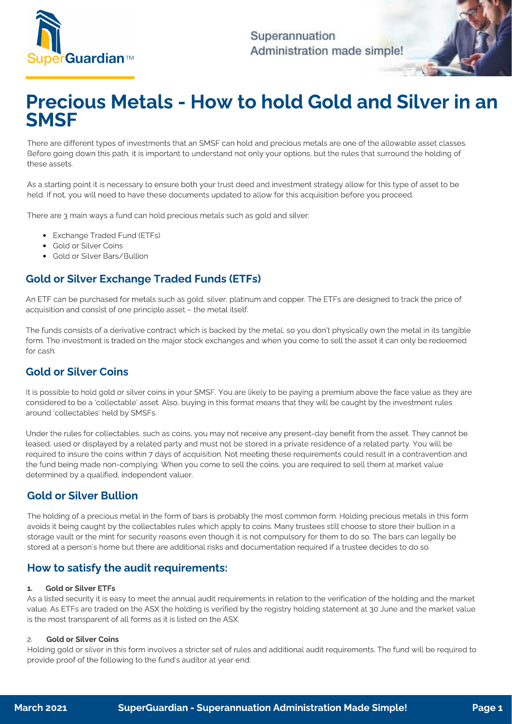

Superannuation Administration made simple!

# Precious Metals - How to hold Gold and Silver in an **SMSF**

There are different types of investments that an  $\frac{1}{2}$  can hold and precise  $\frac{1}{2}$  can hold and precise  $\frac{1}{2}$  can hold and precise  $\frac{1}{2}$  can hold and precise  $\frac{1}{2}$  can hold and precise  $\frac{1}{2}$  can hol Before going down this path, it is important to understand not only your options, but the rules that surround the holding of

 $A = 1$  starting point it is necessary to ensure both  $\alpha$  starting point  $\alpha$  starting point  $\alpha$  and  $\alpha$  and  $\alpha$  and  $\alpha$  and  $\alpha$  are  $\alpha$  and  $\alpha$  and  $\alpha$  and  $\alpha$  asset to be asset to be asset to be asset to be ass held. If not, you will need to have these documents updated to allow for this acquisition before you proceed.

There are 3 main ways a fund can hold precious metals such as gold and silver:

- Exchange Traded Fund (ETFs)<br>• Gold or Silver Coins
- 
- Gold or Silver Bars/Bullion

# Gold or Silver Exchange Traded Funds (ETFs)

 $\alpha$  be purchased for metals such as good for metals such as  $\alpha$  and  $\alpha$  are designed to track the price of  $\alpha$ acquisition and consist of one principle asset – the metal itself.

The funds consists of a derivative contract which is backed by the metal, so you don't physically own the metal in its tangible<br>form. The investment is traded on the major stock exchanges and when you come to sell the asse form. The investment is traded on the major stock exchanges and when you come to sell the asset it can only be redeemed

## **Gold or Silver Coins**

It is possible to hold gold or silver coins in your SMSF. You are likely to be paying a premium above the face value as they are<br>considered to be a 'collectable' asset. Also, buying in this format means that they will be c around 'collectables' held by SMSFs. around 'collectables' held by SMSFs.

Under the rules for collectables, such as coins, you may not receive any present-day benefit from the asset. They cannot be<br>leased, used or displayed by a related party and must not be stored in a private residence of a re required to insure the coins within 7 days of acquisition. Not meeting these requirements could result in a contravention and the fund being made non-complying. When you come to sell the coins, you are required to sell them at market value the fund being made non-complying. When you come to sell the coins, you are required to sell them at market value determined by a qualified, independent valuer.

The holding of a precious metal in the form of bars is probably the most common form. Holding precious metals in this form<br>avoids it being caught by the collectables rules which apply to coins. Many trustees still choose t storage vault or the mint for security reasons even though it is not compulsory for them to do so. The bars can legally be  $s_{\text{total}}$  is not computed value  $s_{\text{total}}$  is not computed in the minimization  $\alpha$  and  $\alpha$  is not computed if a trusted do so. The bars can legally be a solution of the bars can legally be a solution of the bars can lega stored at a person's home but there are additional risks and documentation required if a trustee decides to do so.

## How to satisfy the audit requirements:

#### 1. Gold or Silver ETFs

As a listed security it is easy to meet the annual audit requirements in relation to the verification of the holding and the market<br>value. As ETFs are traded on the ASX the holding is verified by the registry holding state value  $\alpha$  are transported on the Holding is verified by the registry holding statement at  $30$  June and the market value  $\alpha$ is the most transparent of all forms as it is listed on the ASX.

2. Gold or Silver Coins<br>Holding gold or silver in this form involves a stricter set of rules and additional audit requirements. The fund will be required to Holding gold or significant involves a stricter set of rules and additional audit requirements. The fund will be required to require the fund will be required to require to require to require to require to require to requi provide proof of the following to the fund's auditor at year end: